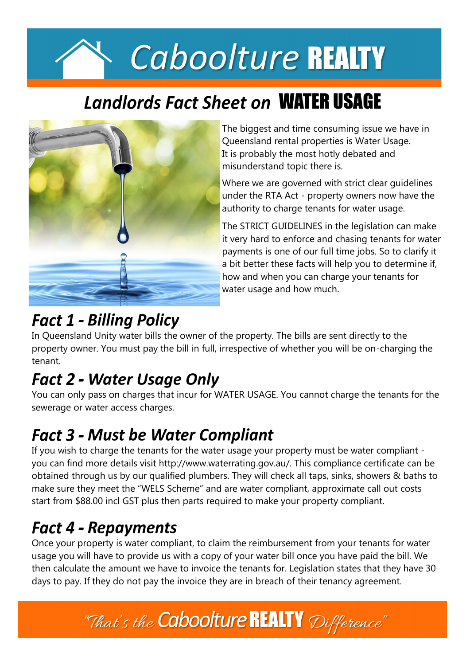# Caboolture REALTY

# **Landlords Fact Sheet on WATER USAGE**



The biggest and time consuming issue we have in Queensland rental properties is Water Usage. It is probably the most hotly debated and misunderstand topic there is.

Where we are governed with strict clear guidelines under the RTA Act - property owners now have the authority to charge tenants for water usage.

The STRICT GUIDELINES in the legislation can make it very hard to enforce and chasing tenants for water payments is one of our full time jobs. So to clarify it a bit better these facts will help you to determine if, how and when you can charge your tenants for water usage and how much.

### **Fact 1 - Billing Policy**

In Queensland Unity water bills the owner of the property. The bills are sent directly to the property owner. You must pay the bill in full, irrespective of whether you will be on-charging the tenant.

# **Fact 2 - Water Usage Only**

You can only pass on charges that incur for WATER USAGE. You cannot charge the tenants for the sewerage or water access charges.

## **Fact 3 - Must be Water Compliant**

If you wish to charge the tenants for the water usage your property must be water compliant you can find more details visit http://www.waterrating.gov.au/. This compliance certificate can be obtained through us by our qualified plumbers. They will check all taps, sinks, showers & baths to make sure they meet the "WELS Scheme" and are water compliant, approximate call out costs start from \$88.00 incl GST plus then parts required to make your property compliant.

## **Fact 4 - Repayments**

Once your property is water compliant, to claim the reimbursement from your tenants for water usage you will have to provide us with a copy of your water bill once you have paid the bill. We then calculate the amount we have to invoice the tenants for. Legislation states that they have 30 days to pay. If they do not pay the invoice they are in breach of their tenancy agreement.